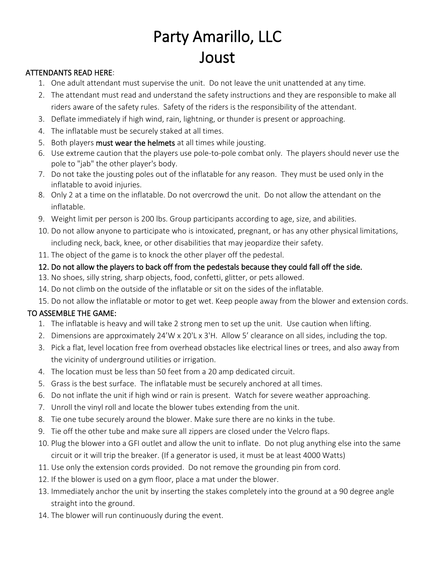# Party Amarillo, LLC Joust

### ATTENDANTS READ HERE:

- 1. One adult attendant must supervise the unit. Do not leave the unit unattended at any time.
- 2. The attendant must read and understand the safety instructions and they are responsible to make all riders aware of the safety rules. Safety of the riders is the responsibility of the attendant.
- 3. Deflate immediately if high wind, rain, lightning, or thunder is present or approaching.
- 4. The inflatable must be securely staked at all times.
- 5. Both players must wear the helmets at all times while jousting.
- 6. Use extreme caution that the players use pole-to-pole combat only. The players should never use the pole to "jab" the other player's body.
- 7. Do not take the jousting poles out of the inflatable for any reason. They must be used only in the inflatable to avoid injuries.
- 8. Only 2 at a time on the inflatable. Do not overcrowd the unit. Do not allow the attendant on the inflatable.
- 9. Weight limit per person is 200 lbs. Group participants according to age, size, and abilities.
- 10. Do not allow anyone to participate who is intoxicated, pregnant, or has any other physical limitations, including neck, back, knee, or other disabilities that may jeopardize their safety.
- 11. The object of the game is to knock the other player off the pedestal.

## 12. Do not allow the players to back off from the pedestals because they could fall off the side.

- 13. No shoes, silly string, sharp objects, food, confetti, glitter, or pets allowed.
- 14. Do not climb on the outside of the inflatable or sit on the sides of the inflatable.
- 15. Do not allow the inflatable or motor to get wet. Keep people away from the blower and extension cords.

# TO ASSEMBLE THE GAME:

- 1. The inflatable is heavy and will take 2 strong men to set up the unit. Use caution when lifting.
- 2. Dimensions are approximately 24'W x 20'L x 3'H. Allow 5' clearance on all sides, including the top.
- 3. Pick a flat, level location free from overhead obstacles like electrical lines or trees, and also away from the vicinity of underground utilities or irrigation.
- 4. The location must be less than 50 feet from a 20 amp dedicated circuit.
- 5. Grass is the best surface. The inflatable must be securely anchored at all times.
- 6. Do not inflate the unit if high wind or rain is present. Watch for severe weather approaching.
- 7. Unroll the vinyl roll and locate the blower tubes extending from the unit.
- 8. Tie one tube securely around the blower. Make sure there are no kinks in the tube.
- 9. Tie off the other tube and make sure all zippers are closed under the Velcro flaps.
- 10. Plug the blower into a GFI outlet and allow the unit to inflate. Do not plug anything else into the same circuit or it will trip the breaker. (If a generator is used, it must be at least 4000 Watts)
- 11. Use only the extension cords provided. Do not remove the grounding pin from cord.
- 12. If the blower is used on a gym floor, place a mat under the blower.
- 13. Immediately anchor the unit by inserting the stakes completely into the ground at a 90 degree angle straight into the ground.
- 14. The blower will run continuously during the event.